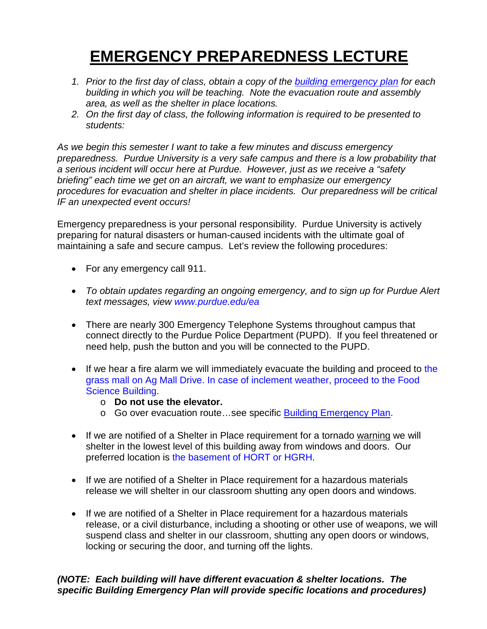# **EMERGENCY PREPAREDNESS LECTURE**

- *1. Prior to the first day of class, obtain a copy of the [building emergency plan](http://www.purdue.edu/ehps/emergency_preparedness/bep/index.html) for each building in which you will be teaching. Note the evacuation route and assembly area, as well as the shelter in place locations.*
- *2. On the first day of class, the following information is required to be presented to students:*

*As we begin this semester I want to take a few minutes and discuss emergency preparedness. Purdue University is a very safe campus and there is a low probability that a serious incident will occur here at Purdue. However, just as we receive a "safety briefing" each time we get on an aircraft, we want to emphasize our emergency procedures for evacuation and shelter in place incidents. Our preparedness will be critical IF an unexpected event occurs!*

Emergency preparedness is your personal responsibility. Purdue University is actively preparing for natural disasters or human-caused incidents with the ultimate goal of maintaining a safe and secure campus. Let's review the following procedures:

- For any emergency call 911.
- *To obtain updates regarding an ongoing emergency, and to sign up for Purdue Alert text messages, view [www.purdue.edu/ea](http://www.purdue.edu/ea)*
- There are nearly 300 Emergency Telephone Systems throughout campus that connect directly to the Purdue Police Department (PUPD). If you feel threatened or need help, push the button and you will be connected to the PUPD.
- If we hear a fire alarm we will immediately evacuate the building and proceed to the grass mall on Ag Mall Drive. In case of inclement weather, proceed to the Food Science Building.
	- o **Do not use the elevator.**
	- o Go over evacuation route…see specific [Building Emergency Plan.](http://www.purdue.edu/ehps/emergency_preparedness/bep/index.html)
- If we are notified of a Shelter in Place requirement for a tornado warning we will shelter in the lowest level of this building away from windows and doors. Our preferred location is the basement of HORT or HGRH.
- If we are notified of a Shelter in Place requirement for a hazardous materials release we will shelter in our classroom shutting any open doors and windows.
- If we are notified of a Shelter in Place requirement for a hazardous materials release, or a civil disturbance, including a shooting or other use of weapons, we will suspend class and shelter in our classroom, shutting any open doors or windows, locking or securing the door, and turning off the lights.

### *(NOTE: Each building will have different evacuation & shelter locations. The specific Building Emergency Plan will provide specific locations and procedures)*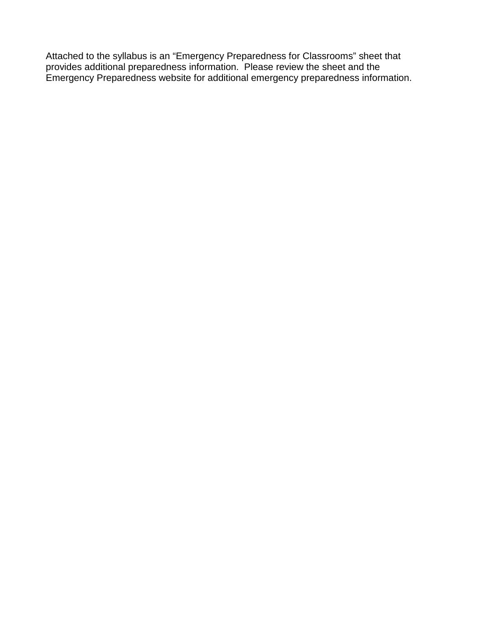Attached to the syllabus is an "Emergency Preparedness for Classrooms" sheet that provides additional preparedness information. Please review the sheet and the Emergency Preparedness website for additional emergency preparedness information.